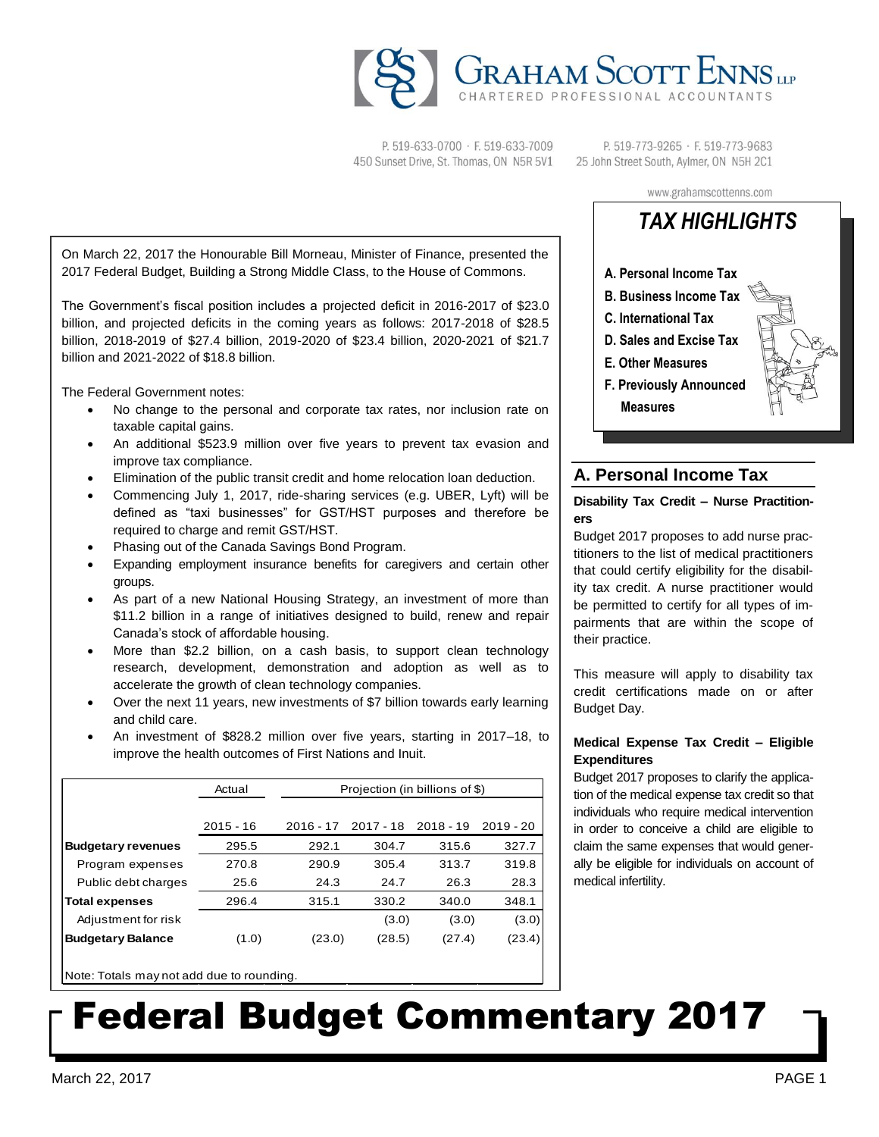

P. 519-633-0700 · F. 519-633-7009 450 Sunset Drive, St. Thomas, ON N5R 5V1

P. 519-773-9265 · F. 519-773-9683 25 John Street South, Aylmer, ON N5H 2C1

On March 22, 2017 the Honourable Bill Morneau, Minister of Finance, presented the 2017 Federal Budget, Building a Strong Middle Class, to the House of Commons.

The Government's fiscal position includes a projected deficit in 2016-2017 of \$23.0 billion, and projected deficits in the coming years as follows: 2017-2018 of \$28.5 billion, 2018-2019 of \$27.4 billion, 2019-2020 of \$23.4 billion, 2020-2021 of \$21.7 billion and 2021-2022 of \$18.8 billion.

The Federal Government notes:

- No change to the personal and corporate tax rates, nor inclusion rate on taxable capital gains.
- An additional \$523.9 million over five years to prevent tax evasion and improve tax compliance.
- Elimination of the public transit credit and home relocation loan deduction.
- Commencing July 1, 2017, ride-sharing services (e.g. UBER, Lyft) will be defined as "taxi businesses" for GST/HST purposes and therefore be required to charge and remit GST/HST.
- Phasing out of the Canada Savings Bond Program.
- Expanding employment insurance benefits for caregivers and certain other groups.
- As part of a new National Housing Strategy, an investment of more than \$11.2 billion in a range of initiatives designed to build, renew and repair Canada's stock of affordable housing.
- More than \$2.2 billion, on a cash basis, to support clean technology research, development, demonstration and adoption as well as to accelerate the growth of clean technology companies.
- Over the next 11 years, new investments of \$7 billion towards early learning and child care.
- An investment of \$828.2 million over five years, starting in 2017–18, to improve the health outcomes of First Nations and Inuit.

|                           | Actual      | Projection (in billions of \$) |             |             |             |
|---------------------------|-------------|--------------------------------|-------------|-------------|-------------|
|                           |             |                                |             |             |             |
|                           | $2015 - 16$ | $2016 - 17$                    | $2017 - 18$ | $2018 - 19$ | $2019 - 20$ |
| <b>Budgetary revenues</b> | 295.5       | 292.1                          | 304.7       | 315.6       | 327.7       |
| Program expenses          | 270.8       | 290.9                          | 305.4       | 313.7       | 319.8       |
| Public debt charges       | 25.6        | 24.3                           | 24.7        | 26.3        | 28.3        |
| <b>Total expenses</b>     | 296.4       | 315.1                          | 330.2       | 340.0       | 348.1       |
| Adjustment for risk       |             |                                | (3.0)       | (3.0)       | (3.0)       |
| <b>Budgetary Balance</b>  | (1.0)       | (23.0)                         | (28.5)      | (27.4)      | (23.4)      |

Note: Totals may not add due to rounding.

# www.grahamscottenns.com *TAX HIGHLIGHTS*



# **A. Personal Income Tax**

# **Disability Tax Credit – Nurse Practitioners**

Budget 2017 proposes to add nurse practitioners to the list of medical practitioners that could certify eligibility for the disability tax credit. A nurse practitioner would be permitted to certify for all types of impairments that are within the scope of their practice.

This measure will apply to disability tax credit certifications made on or after Budget Day.

# **Medical Expense Tax Credit – Eligible Expenditures**

Budget 2017 proposes to clarify the application of the medical expense tax credit so that individuals who require medical intervention in order to conceive a child are eligible to claim the same expenses that would generally be eligible for individuals on account of medical infertility.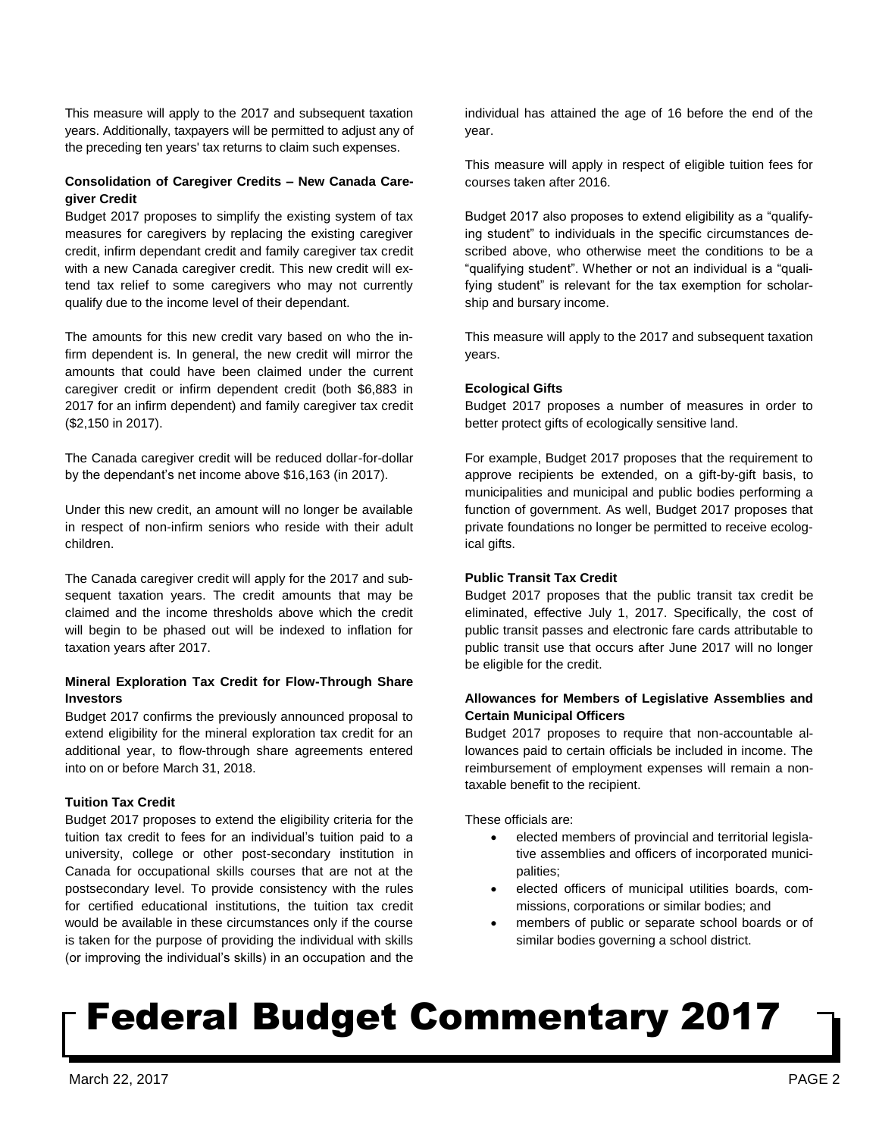This measure will apply to the 2017 and subsequent taxation years. Additionally, taxpayers will be permitted to adjust any of the preceding ten years' tax returns to claim such expenses.

## **Consolidation of Caregiver Credits – New Canada Caregiver Credit**

Budget 2017 proposes to simplify the existing system of tax measures for caregivers by replacing the existing caregiver credit, infirm dependant credit and family caregiver tax credit with a new Canada caregiver credit. This new credit will extend tax relief to some caregivers who may not currently qualify due to the income level of their dependant.

The amounts for this new credit vary based on who the infirm dependent is. In general, the new credit will mirror the amounts that could have been claimed under the current caregiver credit or infirm dependent credit (both \$6,883 in 2017 for an infirm dependent) and family caregiver tax credit (\$2,150 in 2017).

The Canada caregiver credit will be reduced dollar-for-dollar by the dependant's net income above \$16,163 (in 2017).

Under this new credit, an amount will no longer be available in respect of non-infirm seniors who reside with their adult children.

The Canada caregiver credit will apply for the 2017 and subsequent taxation years. The credit amounts that may be claimed and the income thresholds above which the credit will begin to be phased out will be indexed to inflation for taxation years after 2017.

## **Mineral Exploration Tax Credit for Flow-Through Share Investors**

Budget 2017 confirms the previously announced proposal to extend eligibility for the mineral exploration tax credit for an additional year, to flow-through share agreements entered into on or before March 31, 2018.

# **Tuition Tax Credit**

Budget 2017 proposes to extend the eligibility criteria for the tuition tax credit to fees for an individual's tuition paid to a university, college or other post-secondary institution in Canada for occupational skills courses that are not at the postsecondary level. To provide consistency with the rules for certified educational institutions, the tuition tax credit would be available in these circumstances only if the course is taken for the purpose of providing the individual with skills (or improving the individual's skills) in an occupation and the individual has attained the age of 16 before the end of the year.

This measure will apply in respect of eligible tuition fees for courses taken after 2016.

Budget 2017 also proposes to extend eligibility as a "qualifying student" to individuals in the specific circumstances described above, who otherwise meet the conditions to be a "qualifying student". Whether or not an individual is a "qualifying student" is relevant for the tax exemption for scholarship and bursary income.

This measure will apply to the 2017 and subsequent taxation years.

## **Ecological Gifts**

Budget 2017 proposes a number of measures in order to better protect gifts of ecologically sensitive land.

For example, Budget 2017 proposes that the requirement to approve recipients be extended, on a gift-by-gift basis, to municipalities and municipal and public bodies performing a function of government. As well, Budget 2017 proposes that private foundations no longer be permitted to receive ecological gifts.

## **Public Transit Tax Credit**

Budget 2017 proposes that the public transit tax credit be eliminated, effective July 1, 2017. Specifically, the cost of public transit passes and electronic fare cards attributable to public transit use that occurs after June 2017 will no longer be eligible for the credit.

# **Allowances for Members of Legislative Assemblies and Certain Municipal Officers**

Budget 2017 proposes to require that non-accountable allowances paid to certain officials be included in income. The reimbursement of employment expenses will remain a nontaxable benefit to the recipient.

These officials are:

- elected members of provincial and territorial legislative assemblies and officers of incorporated municipalities;
- elected officers of municipal utilities boards, commissions, corporations or similar bodies; and
- members of public or separate school boards or of similar bodies governing a school district.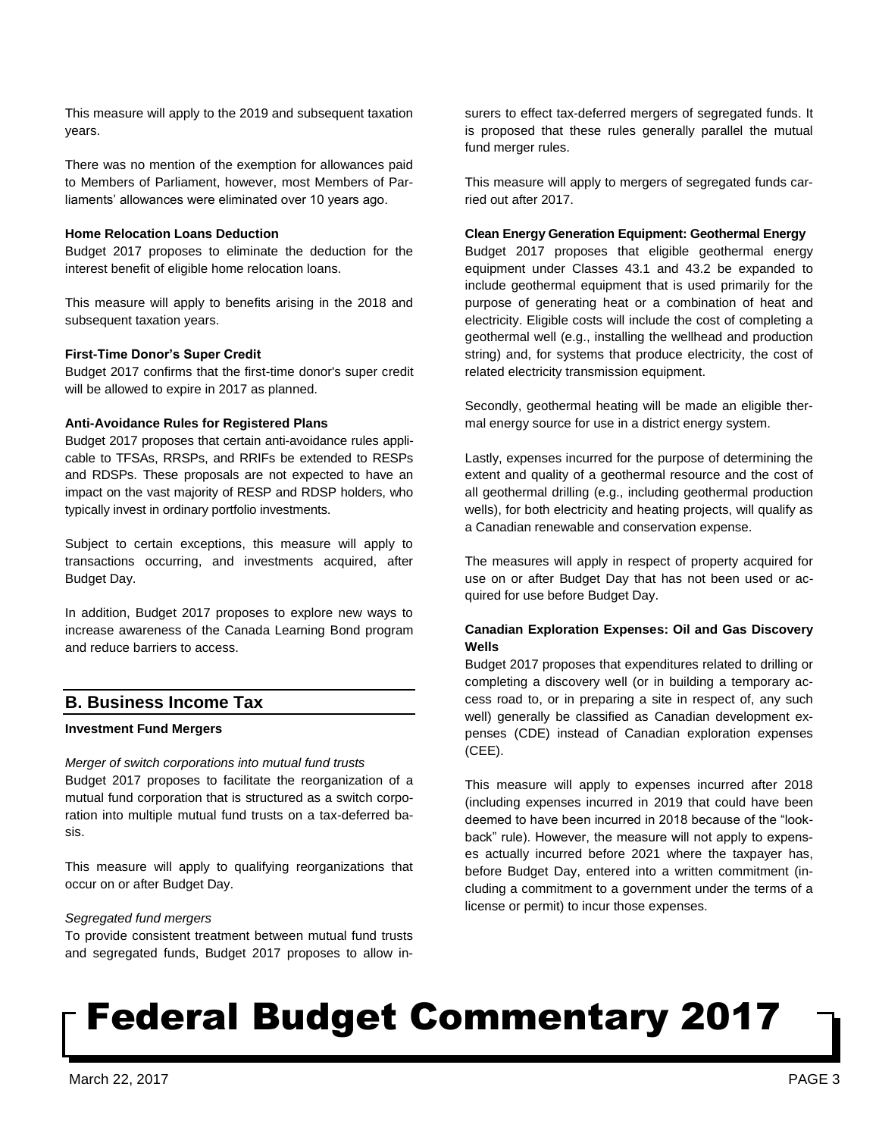This measure will apply to the 2019 and subsequent taxation years.

There was no mention of the exemption for allowances paid to Members of Parliament, however, most Members of Parliaments' allowances were eliminated over 10 years ago.

## **Home Relocation Loans Deduction**

Budget 2017 proposes to eliminate the deduction for the interest benefit of eligible home relocation loans.

This measure will apply to benefits arising in the 2018 and subsequent taxation years.

### **First-Time Donor's Super Credit**

Budget 2017 confirms that the first-time donor's super credit will be allowed to expire in 2017 as planned.

#### **Anti-Avoidance Rules for Registered Plans**

Budget 2017 proposes that certain anti-avoidance rules applicable to TFSAs, RRSPs, and RRIFs be extended to RESPs and RDSPs. These proposals are not expected to have an impact on the vast majority of RESP and RDSP holders, who typically invest in ordinary portfolio investments.

Subject to certain exceptions, this measure will apply to transactions occurring, and investments acquired, after Budget Day.

In addition, Budget 2017 proposes to explore new ways to increase awareness of the Canada Learning Bond program and reduce barriers to access.

# **B. Business Income Tax**

## **Investment Fund Mergers**

*Merger of switch corporations into mutual fund trusts* Budget 2017 proposes to facilitate the reorganization of a mutual fund corporation that is structured as a switch corporation into multiple mutual fund trusts on a tax-deferred basis.

This measure will apply to qualifying reorganizations that occur on or after Budget Day.

## *Segregated fund mergers*

To provide consistent treatment between mutual fund trusts and segregated funds, Budget 2017 proposes to allow insurers to effect tax-deferred mergers of segregated funds. It is proposed that these rules generally parallel the mutual fund merger rules.

This measure will apply to mergers of segregated funds carried out after 2017.

#### **Clean Energy Generation Equipment: Geothermal Energy**

Budget 2017 proposes that eligible geothermal energy equipment under Classes 43.1 and 43.2 be expanded to include geothermal equipment that is used primarily for the purpose of generating heat or a combination of heat and electricity. Eligible costs will include the cost of completing a geothermal well (e.g., installing the wellhead and production string) and, for systems that produce electricity, the cost of related electricity transmission equipment.

Secondly, geothermal heating will be made an eligible thermal energy source for use in a district energy system.

Lastly, expenses incurred for the purpose of determining the extent and quality of a geothermal resource and the cost of all geothermal drilling (e.g., including geothermal production wells), for both electricity and heating projects, will qualify as a Canadian renewable and conservation expense.

The measures will apply in respect of property acquired for use on or after Budget Day that has not been used or acquired for use before Budget Day.

## **Canadian Exploration Expenses: Oil and Gas Discovery Wells**

Budget 2017 proposes that expenditures related to drilling or completing a discovery well (or in building a temporary access road to, or in preparing a site in respect of, any such well) generally be classified as Canadian development expenses (CDE) instead of Canadian exploration expenses (CEE).

This measure will apply to expenses incurred after 2018 (including expenses incurred in 2019 that could have been deemed to have been incurred in 2018 because of the "lookback" rule). However, the measure will not apply to expenses actually incurred before 2021 where the taxpayer has, before Budget Day, entered into a written commitment (including a commitment to a government under the terms of a license or permit) to incur those expenses.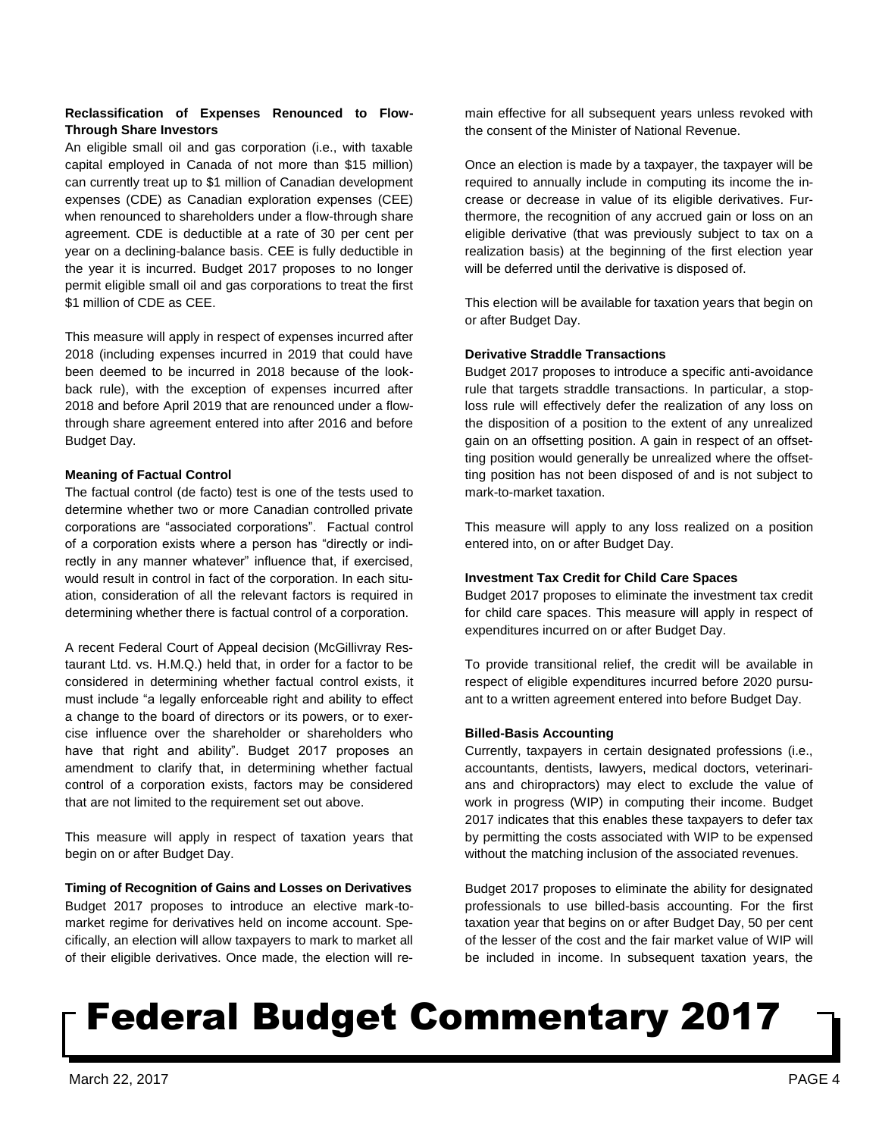# **Reclassification of Expenses Renounced to Flow-Through Share Investors**

An eligible small oil and gas corporation (i.e., with taxable capital employed in Canada of not more than \$15 million) can currently treat up to \$1 million of Canadian development expenses (CDE) as Canadian exploration expenses (CEE) when renounced to shareholders under a flow-through share agreement. CDE is deductible at a rate of 30 per cent per year on a declining-balance basis. CEE is fully deductible in the year it is incurred. Budget 2017 proposes to no longer permit eligible small oil and gas corporations to treat the first \$1 million of CDE as CEE.

This measure will apply in respect of expenses incurred after 2018 (including expenses incurred in 2019 that could have been deemed to be incurred in 2018 because of the lookback rule), with the exception of expenses incurred after 2018 and before April 2019 that are renounced under a flowthrough share agreement entered into after 2016 and before Budget Day.

# **Meaning of Factual Control**

The factual control (de facto) test is one of the tests used to determine whether two or more Canadian controlled private corporations are "associated corporations". Factual control of a corporation exists where a person has "directly or indirectly in any manner whatever" influence that, if exercised, would result in control in fact of the corporation. In each situation, consideration of all the relevant factors is required in determining whether there is factual control of a corporation.

A recent Federal Court of Appeal decision (McGillivray Restaurant Ltd. vs. H.M.Q.) held that, in order for a factor to be considered in determining whether factual control exists, it must include "a legally enforceable right and ability to effect a change to the board of directors or its powers, or to exercise influence over the shareholder or shareholders who have that right and ability". Budget 2017 proposes an amendment to clarify that, in determining whether factual control of a corporation exists, factors may be considered that are not limited to the requirement set out above.

This measure will apply in respect of taxation years that begin on or after Budget Day.

**Timing of Recognition of Gains and Losses on Derivatives** Budget 2017 proposes to introduce an elective mark-tomarket regime for derivatives held on income account. Specifically, an election will allow taxpayers to mark to market all of their eligible derivatives. Once made, the election will remain effective for all subsequent years unless revoked with the consent of the Minister of National Revenue.

Once an election is made by a taxpayer, the taxpayer will be required to annually include in computing its income the increase or decrease in value of its eligible derivatives. Furthermore, the recognition of any accrued gain or loss on an eligible derivative (that was previously subject to tax on a realization basis) at the beginning of the first election year will be deferred until the derivative is disposed of.

This election will be available for taxation years that begin on or after Budget Day.

# **Derivative Straddle Transactions**

Budget 2017 proposes to introduce a specific anti-avoidance rule that targets straddle transactions. In particular, a stoploss rule will effectively defer the realization of any loss on the disposition of a position to the extent of any unrealized gain on an offsetting position. A gain in respect of an offsetting position would generally be unrealized where the offsetting position has not been disposed of and is not subject to mark-to-market taxation.

This measure will apply to any loss realized on a position entered into, on or after Budget Day.

## **Investment Tax Credit for Child Care Spaces**

Budget 2017 proposes to eliminate the investment tax credit for child care spaces. This measure will apply in respect of expenditures incurred on or after Budget Day.

To provide transitional relief, the credit will be available in respect of eligible expenditures incurred before 2020 pursuant to a written agreement entered into before Budget Day.

## **Billed-Basis Accounting**

Currently, taxpayers in certain designated professions (i.e., accountants, dentists, lawyers, medical doctors, veterinarians and chiropractors) may elect to exclude the value of work in progress (WIP) in computing their income. Budget 2017 indicates that this enables these taxpayers to defer tax by permitting the costs associated with WIP to be expensed without the matching inclusion of the associated revenues.

Budget 2017 proposes to eliminate the ability for designated professionals to use billed-basis accounting. For the first taxation year that begins on or after Budget Day, 50 per cent of the lesser of the cost and the fair market value of WIP will be included in income. In subsequent taxation years, the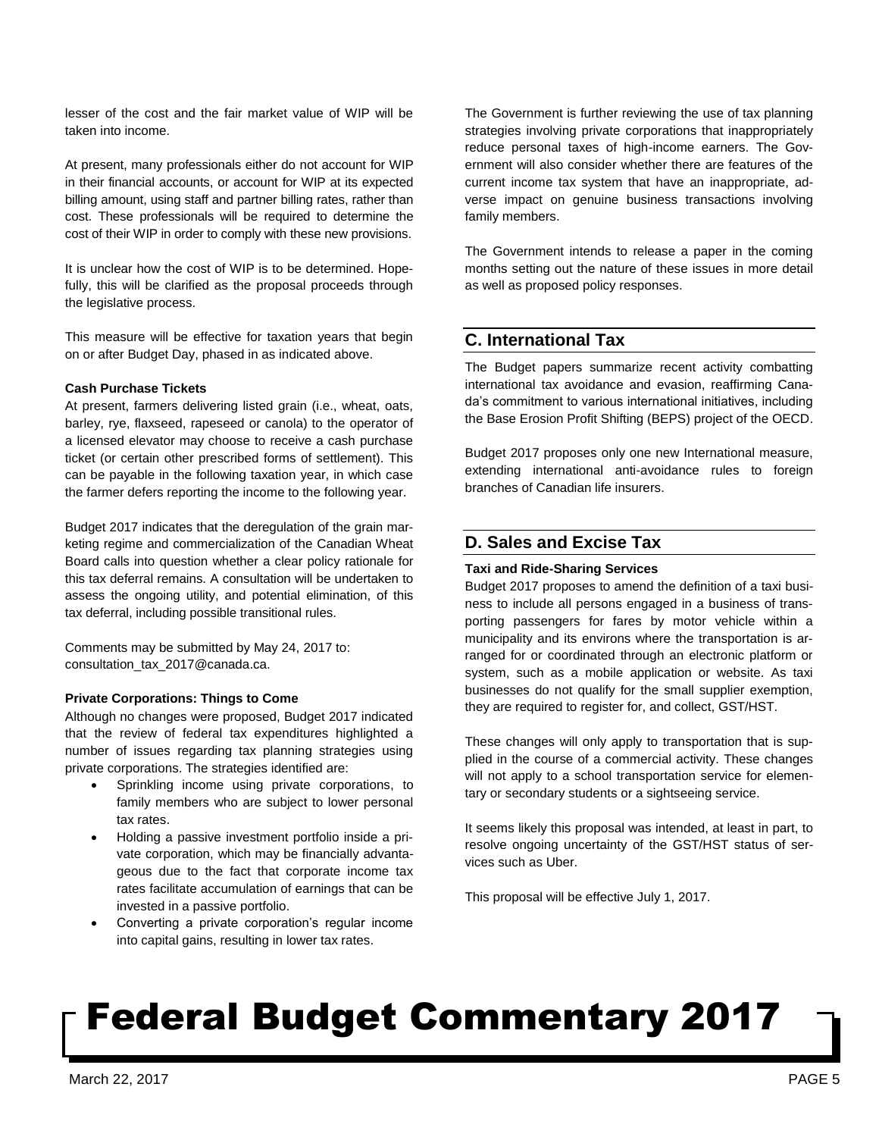lesser of the cost and the fair market value of WIP will be taken into income.

At present, many professionals either do not account for WIP in their financial accounts, or account for WIP at its expected billing amount, using staff and partner billing rates, rather than cost. These professionals will be required to determine the cost of their WIP in order to comply with these new provisions.

It is unclear how the cost of WIP is to be determined. Hopefully, this will be clarified as the proposal proceeds through the legislative process.

This measure will be effective for taxation years that begin on or after Budget Day, phased in as indicated above.

## **Cash Purchase Tickets**

At present, farmers delivering listed grain (i.e., wheat, oats, barley, rye, flaxseed, rapeseed or canola) to the operator of a licensed elevator may choose to receive a cash purchase ticket (or certain other prescribed forms of settlement). This can be payable in the following taxation year, in which case the farmer defers reporting the income to the following year.

Budget 2017 indicates that the deregulation of the grain marketing regime and commercialization of the Canadian Wheat Board calls into question whether a clear policy rationale for this tax deferral remains. A consultation will be undertaken to assess the ongoing utility, and potential elimination, of this tax deferral, including possible transitional rules.

Comments may be submitted by May 24, 2017 to: consultation\_tax\_2017@canada.ca.

## **Private Corporations: Things to Come**

Although no changes were proposed, Budget 2017 indicated that the review of federal tax expenditures highlighted a number of issues regarding tax planning strategies using private corporations. The strategies identified are:

- Sprinkling income using private corporations, to family members who are subject to lower personal tax rates.
- Holding a passive investment portfolio inside a private corporation, which may be financially advantageous due to the fact that corporate income tax rates facilitate accumulation of earnings that can be invested in a passive portfolio.
- Converting a private corporation's regular income into capital gains, resulting in lower tax rates.

The Government is further reviewing the use of tax planning strategies involving private corporations that inappropriately reduce personal taxes of high-income earners. The Government will also consider whether there are features of the current income tax system that have an inappropriate, adverse impact on genuine business transactions involving family members.

The Government intends to release a paper in the coming months setting out the nature of these issues in more detail as well as proposed policy responses.

# **C. International Tax**

The Budget papers summarize recent activity combatting international tax avoidance and evasion, reaffirming Canada's commitment to various international initiatives, including the Base Erosion Profit Shifting (BEPS) project of the OECD.

Budget 2017 proposes only one new International measure, extending international anti-avoidance rules to foreign branches of Canadian life insurers.

# **D. Sales and Excise Tax**

## **Taxi and Ride-Sharing Services**

Budget 2017 proposes to amend the definition of a taxi business to include all persons engaged in a business of transporting passengers for fares by motor vehicle within a municipality and its environs where the transportation is arranged for or coordinated through an electronic platform or system, such as a mobile application or website. As taxi businesses do not qualify for the small supplier exemption, they are required to register for, and collect, GST/HST.

These changes will only apply to transportation that is supplied in the course of a commercial activity. These changes will not apply to a school transportation service for elementary or secondary students or a sightseeing service.

It seems likely this proposal was intended, at least in part, to resolve ongoing uncertainty of the GST/HST status of services such as Uber.

This proposal will be effective July 1, 2017.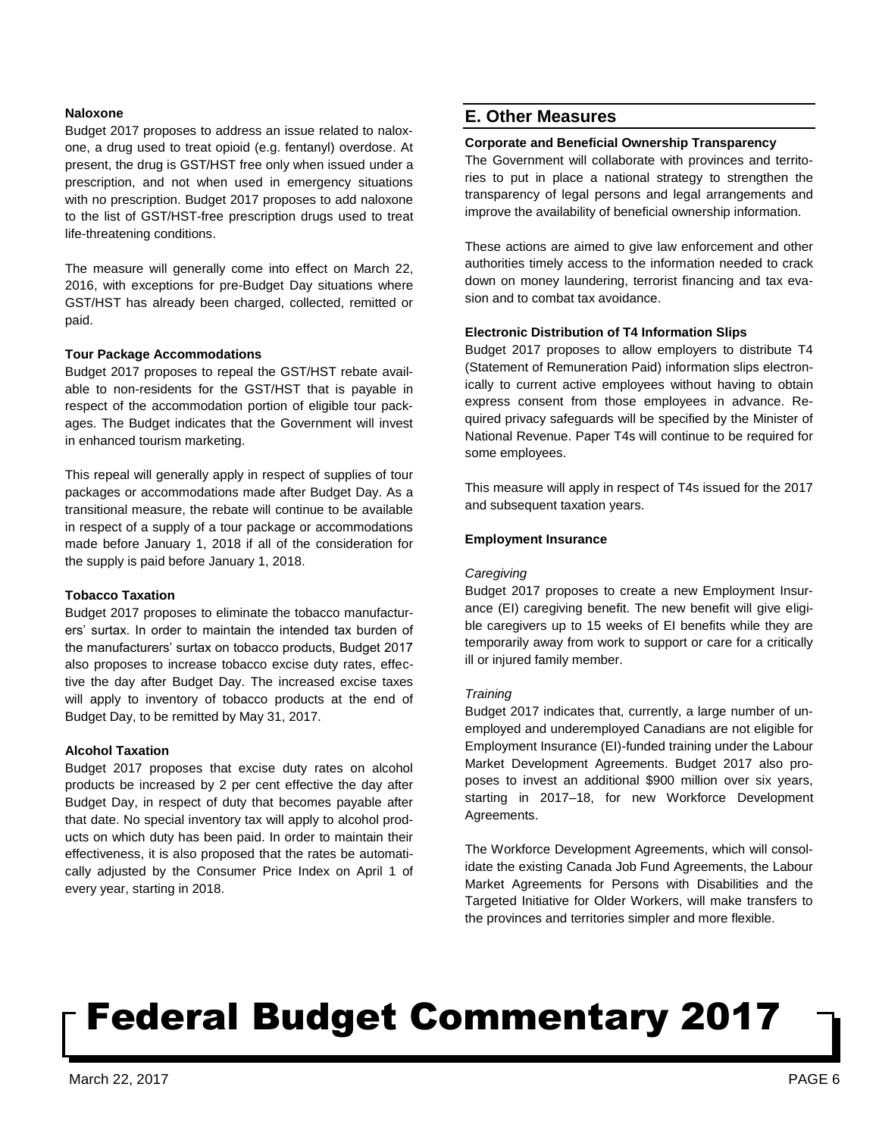## **Naloxone**

Budget 2017 proposes to address an issue related to naloxone, a drug used to treat opioid (e.g. fentanyl) overdose. At present, the drug is GST/HST free only when issued under a prescription, and not when used in emergency situations with no prescription. Budget 2017 proposes to add naloxone to the list of GST/HST-free prescription drugs used to treat life-threatening conditions.

The measure will generally come into effect on March 22, 2016, with exceptions for pre-Budget Day situations where GST/HST has already been charged, collected, remitted or paid.

#### **Tour Package Accommodations**

Budget 2017 proposes to repeal the GST/HST rebate available to non-residents for the GST/HST that is payable in respect of the accommodation portion of eligible tour packages. The Budget indicates that the Government will invest in enhanced tourism marketing.

This repeal will generally apply in respect of supplies of tour packages or accommodations made after Budget Day. As a transitional measure, the rebate will continue to be available in respect of a supply of a tour package or accommodations made before January 1, 2018 if all of the consideration for the supply is paid before January 1, 2018.

#### **Tobacco Taxation**

Budget 2017 proposes to eliminate the tobacco manufacturers' surtax. In order to maintain the intended tax burden of the manufacturers' surtax on tobacco products, Budget 2017 also proposes to increase tobacco excise duty rates, effective the day after Budget Day. The increased excise taxes will apply to inventory of tobacco products at the end of Budget Day, to be remitted by May 31, 2017.

### **Alcohol Taxation**

Budget 2017 proposes that excise duty rates on alcohol products be increased by 2 per cent effective the day after Budget Day, in respect of duty that becomes payable after that date. No special inventory tax will apply to alcohol products on which duty has been paid. In order to maintain their effectiveness, it is also proposed that the rates be automatically adjusted by the Consumer Price Index on April 1 of every year, starting in 2018.

# **E. Other Measures**

## **Corporate and Beneficial Ownership Transparency**

The Government will collaborate with provinces and territories to put in place a national strategy to strengthen the transparency of legal persons and legal arrangements and improve the availability of beneficial ownership information.

These actions are aimed to give law enforcement and other authorities timely access to the information needed to crack down on money laundering, terrorist financing and tax evasion and to combat tax avoidance.

### **Electronic Distribution of T4 Information Slips**

Budget 2017 proposes to allow employers to distribute T4 (Statement of Remuneration Paid) information slips electronically to current active employees without having to obtain express consent from those employees in advance. Required privacy safeguards will be specified by the Minister of National Revenue. Paper T4s will continue to be required for some employees.

This measure will apply in respect of T4s issued for the 2017 and subsequent taxation years.

### **Employment Insurance**

#### *Caregiving*

Budget 2017 proposes to create a new Employment Insurance (EI) caregiving benefit. The new benefit will give eligible caregivers up to 15 weeks of EI benefits while they are temporarily away from work to support or care for a critically ill or injured family member.

### *Training*

Budget 2017 indicates that, currently, a large number of unemployed and underemployed Canadians are not eligible for Employment Insurance (EI)-funded training under the Labour Market Development Agreements. Budget 2017 also proposes to invest an additional \$900 million over six years, starting in 2017–18, for new Workforce Development Agreements.

The Workforce Development Agreements, which will consolidate the existing Canada Job Fund Agreements, the Labour Market Agreements for Persons with Disabilities and the Targeted Initiative for Older Workers, will make transfers to the provinces and territories simpler and more flexible.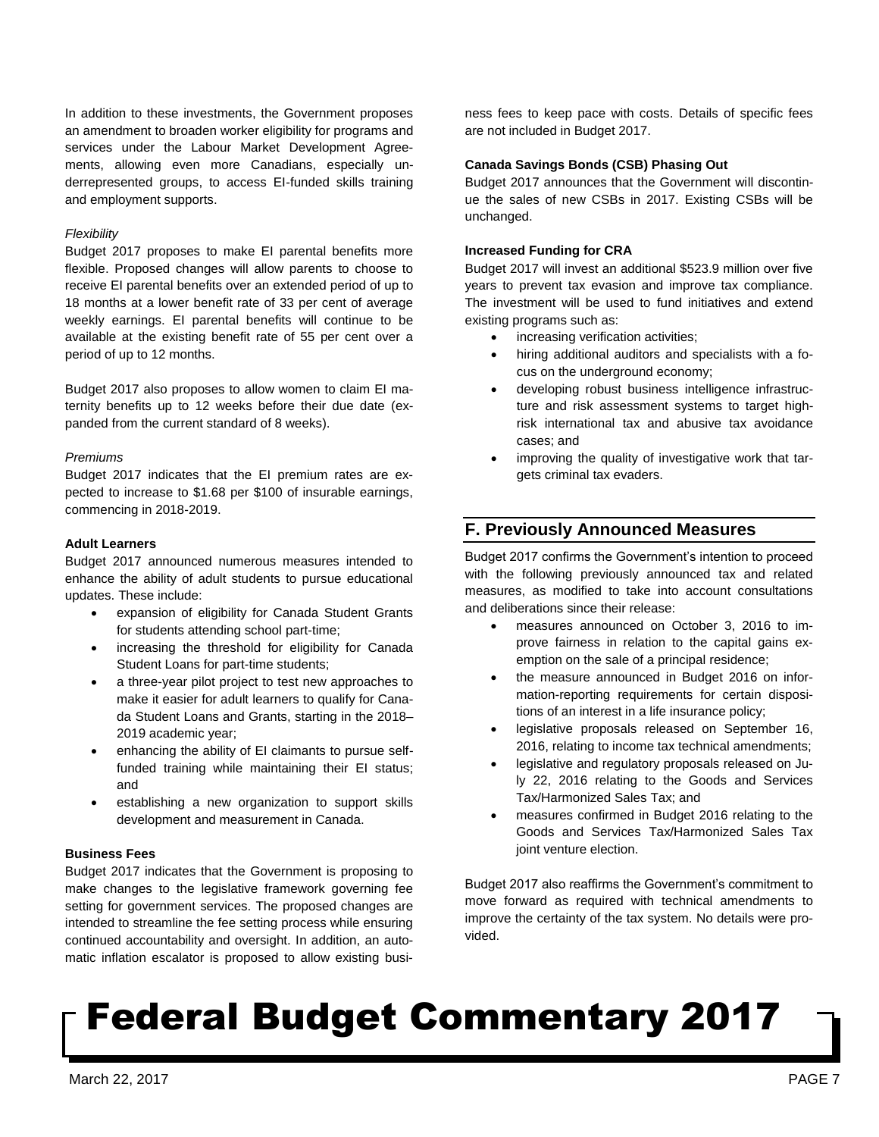In addition to these investments, the Government proposes an amendment to broaden worker eligibility for programs and services under the Labour Market Development Agreements, allowing even more Canadians, especially underrepresented groups, to access EI-funded skills training and employment supports.

### *Flexibility*

Budget 2017 proposes to make EI parental benefits more flexible. Proposed changes will allow parents to choose to receive EI parental benefits over an extended period of up to 18 months at a lower benefit rate of 33 per cent of average weekly earnings. EI parental benefits will continue to be available at the existing benefit rate of 55 per cent over a period of up to 12 months.

Budget 2017 also proposes to allow women to claim EI maternity benefits up to 12 weeks before their due date (expanded from the current standard of 8 weeks).

### *Premiums*

Budget 2017 indicates that the EI premium rates are expected to increase to \$1.68 per \$100 of insurable earnings, commencing in 2018-2019.

## **Adult Learners**

Budget 2017 announced numerous measures intended to enhance the ability of adult students to pursue educational updates. These include:

- expansion of eligibility for Canada Student Grants for students attending school part-time;
- increasing the threshold for eligibility for Canada Student Loans for part-time students;
- a three-year pilot project to test new approaches to make it easier for adult learners to qualify for Canada Student Loans and Grants, starting in the 2018– 2019 academic year;
- enhancing the ability of EI claimants to pursue selffunded training while maintaining their EI status; and
- establishing a new organization to support skills development and measurement in Canada.

## **Business Fees**

Budget 2017 indicates that the Government is proposing to make changes to the legislative framework governing fee setting for government services. The proposed changes are intended to streamline the fee setting process while ensuring continued accountability and oversight. In addition, an automatic inflation escalator is proposed to allow existing business fees to keep pace with costs. Details of specific fees are not included in Budget 2017.

# **Canada Savings Bonds (CSB) Phasing Out**

Budget 2017 announces that the Government will discontinue the sales of new CSBs in 2017. Existing CSBs will be unchanged.

### **Increased Funding for CRA**

Budget 2017 will invest an additional \$523.9 million over five years to prevent tax evasion and improve tax compliance. The investment will be used to fund initiatives and extend existing programs such as:

- increasing verification activities;
- hiring additional auditors and specialists with a focus on the underground economy;
- developing robust business intelligence infrastructure and risk assessment systems to target highrisk international tax and abusive tax avoidance cases; and
- improving the quality of investigative work that targets criminal tax evaders.

# **F. Previously Announced Measures**

Budget 2017 confirms the Government's intention to proceed with the following previously announced tax and related measures, as modified to take into account consultations and deliberations since their release:

- measures announced on October 3, 2016 to improve fairness in relation to the capital gains exemption on the sale of a principal residence;
- the measure announced in Budget 2016 on information-reporting requirements for certain dispositions of an interest in a life insurance policy;
- legislative proposals released on September 16, 2016, relating to income tax technical amendments;
- legislative and regulatory proposals released on July 22, 2016 relating to the Goods and Services Tax/Harmonized Sales Tax; and
- measures confirmed in Budget 2016 relating to the Goods and Services Tax/Harmonized Sales Tax joint venture election.

Budget 2017 also reaffirms the Government's commitment to move forward as required with technical amendments to improve the certainty of the tax system. No details were provided.